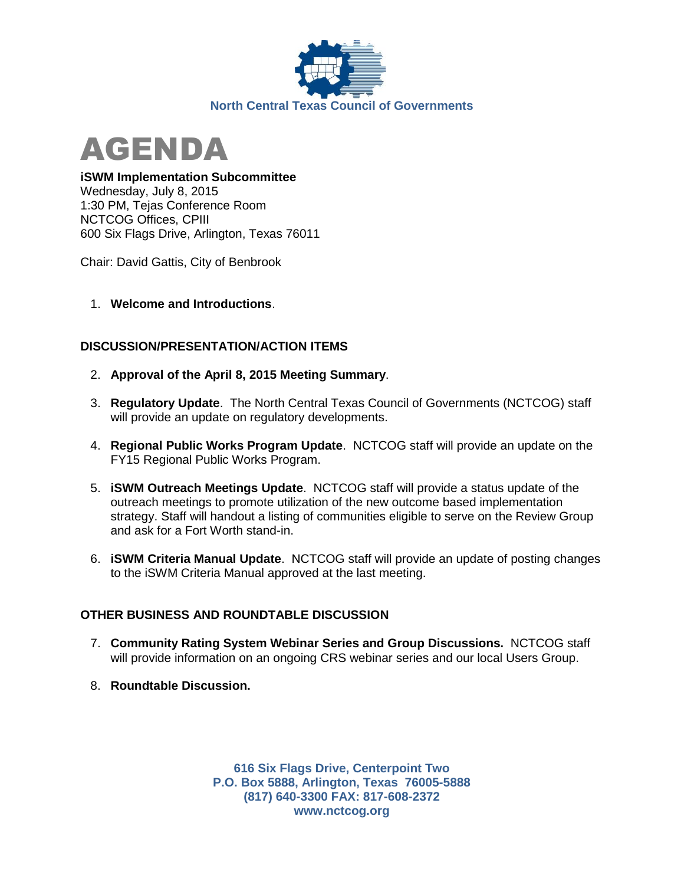



## **iSWM Implementation Subcommittee**

Wednesday, July 8, 2015 1:30 PM, Tejas Conference Room NCTCOG Offices, CPIII 600 Six Flags Drive, Arlington, Texas 76011

Chair: David Gattis, City of Benbrook

1. **Welcome and Introductions**.

## **DISCUSSION/PRESENTATION/ACTION ITEMS**

- 2. **Approval of the April 8, 2015 Meeting Summary**.
- 3. **Regulatory Update**. The North Central Texas Council of Governments (NCTCOG) staff will provide an update on regulatory developments.
- 4. **Regional Public Works Program Update**. NCTCOG staff will provide an update on the FY15 Regional Public Works Program.
- 5. **iSWM Outreach Meetings Update**. NCTCOG staff will provide a status update of the outreach meetings to promote utilization of the new outcome based implementation strategy. Staff will handout a listing of communities eligible to serve on the Review Group and ask for a Fort Worth stand-in.
- 6. **iSWM Criteria Manual Update**. NCTCOG staff will provide an update of posting changes to the iSWM Criteria Manual approved at the last meeting.

## **OTHER BUSINESS AND ROUNDTABLE DISCUSSION**

- 7. **Community Rating System Webinar Series and Group Discussions.** NCTCOG staff will provide information on an ongoing CRS webinar series and our local Users Group.
- 8. **Roundtable Discussion.**

**616 Six Flags Drive, Centerpoint Two P.O. Box 5888, Arlington, Texas 76005-5888 (817) 640-3300 FAX: 817-608-2372 www.nctcog.org**